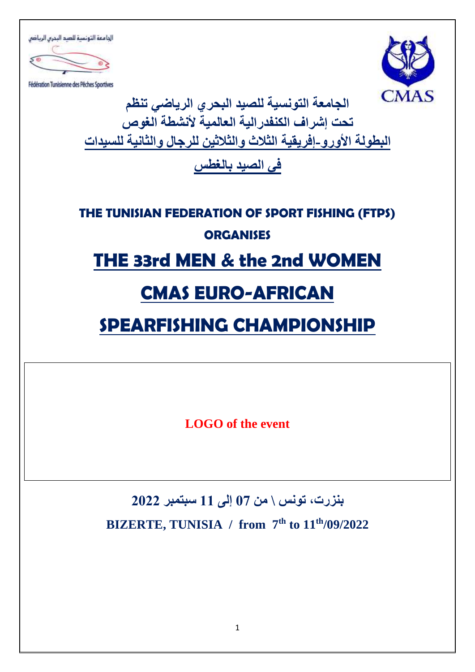الجامعة التونسبة للصد البحرس الرياضي

Fédération Tunisienne des Péches Sportives



**الجامعة التونسية للصيد البحري الرياضي تنظم تحت إشراف الكنفدرالية العالمية ألنشطة الغوص** البطولة الأورو-إفريقية الثلاث والثلاثين للرجال والثانية للسيدات

**في الصيد بالغطس** 

# **THE TUNISIAN FEDERATION OF SPORT FISHING (FTPS) ORGANISES**

# **THE 33rd MEN & the 2nd WOMEN**

# **CMAS EURO-AFRICAN**

# **SPEARFISHING CHAMPIONSHIP**

**LOGO of the event**

# **بنزرت، تونس \ من 07 إلى 11 سبتمبر 2022 BIZERTE, TUNISIA / from 7 th to 11th/09/2022**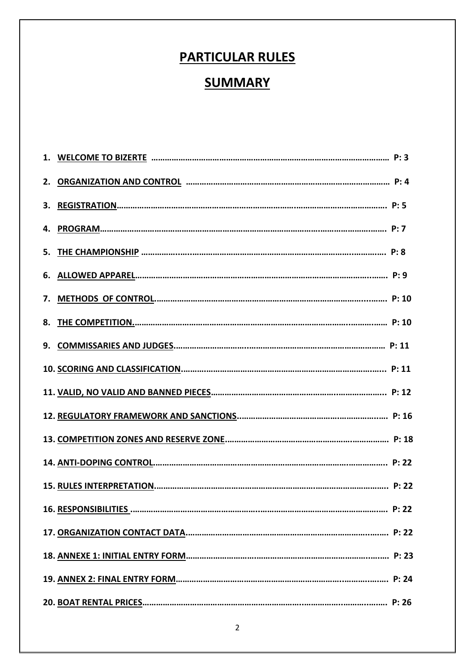# **PARTICULAR RULES**

## **SUMMARY**

| 8. |  |
|----|--|
|    |  |
|    |  |
|    |  |
|    |  |
|    |  |
|    |  |
|    |  |
|    |  |
|    |  |
|    |  |
|    |  |
|    |  |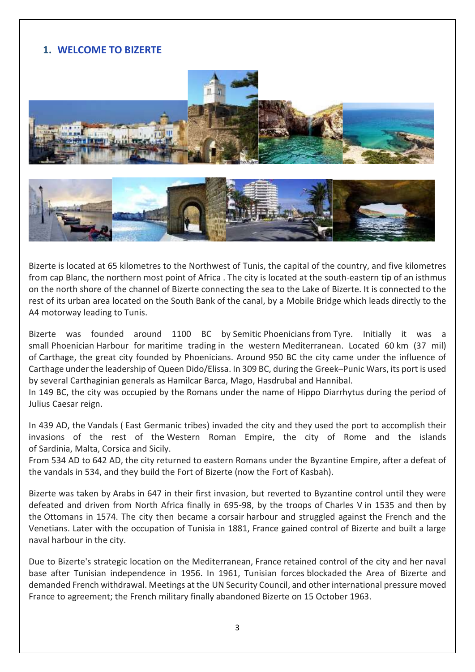## **1. WELCOME TO BIZERTE**





Bizerte is located at 65 kilometres to the Northwest of [Tunis,](https://www.microsofttranslator.com/bv.aspx?from=fr&to=en&a=https%3A%2F%2Ffr.wikipedia.org%2Fwiki%2FTunis) the [capital o](https://www.microsofttranslator.com/bv.aspx?from=fr&to=en&a=https%3A%2F%2Ffr.wikipedia.org%2Fwiki%2FCapitale)f the country, and five kilometres from [cap Blanc,](https://www.microsofttranslator.com/bv.aspx?from=fr&to=en&a=https%3A%2F%2Ffr.wikipedia.org%2Fwiki%2FCap_Blanc_(Tunisie)) the northern most point of [Africa .](https://www.microsofttranslator.com/bv.aspx?from=fr&to=en&a=https%3A%2F%2Ffr.wikipedia.org%2Fwiki%2FAfrique) The city is located at the south-eastern tip of an [isthmus](https://www.microsofttranslator.com/bv.aspx?from=fr&to=en&a=https%3A%2F%2Ffr.wikipedia.org%2Fwiki%2FIsthme)  on the north shore of the channel of Bizerte connecting the sea to the Lake of Bizerte. It is connected to the rest of its urban area located on the South Bank of the canal, by a Mobile [Bridge w](https://www.microsofttranslator.com/bv.aspx?from=fr&to=en&a=https%3A%2F%2Ffr.wikipedia.org%2Fwiki%2FPont_mobile_de_Bizerte)hich leads directly to the [A4 motorway](https://www.microsofttranslator.com/bv.aspx?from=fr&to=en&a=https%3A%2F%2Ffr.wikipedia.org%2Fwiki%2FAutoroute_A4_(Tunisie)) leading to Tunis.

Bizerte was founded around 1100 BC by [Semitic](https://en.wikipedia.org/wiki/Semitic_people) [Phoenicians](https://en.wikipedia.org/wiki/Phoenicia) from Tyre. Initially it was a small [Phoenician](https://en.wikipedia.org/wiki/Phoenicia) Harbour for [maritime trading](https://en.wikipedia.org/wiki/Thalassocracy) in the western [Mediterranean.](https://en.wikipedia.org/wiki/Mediterranean) Located 60 km (37 mil) of [Carthage,](https://en.wikipedia.org/wiki/Carthage) the great city founded by Phoenicians. Around 950 BC the city came under the influence of Carthage under the leadership of [Queen Dido/Elissa.](https://en.wikipedia.org/wiki/Dido_(Queen_of_Carthage)) In 309 BC, during the Greek–[Punic Wars,](https://en.wikipedia.org/wiki/Greek%E2%80%93Punic_Wars) its port is used by several Carthaginian generals as [Hamilcar Barca,](https://en.wikipedia.org/wiki/Hamilcar_Barca) [Mago,](https://en.wikipedia.org/wiki/Mago_(Barcid)) [Hasdrubal](https://en.wikipedia.org/wiki/Hasdrubal_(Barcid)) and [Hannibal.](https://en.wikipedia.org/wiki/Hannibal)

In 149 BC, the city was occupied by the [Romans](https://en.wikipedia.org/wiki/Ancient_Rome) under the name of Hippo Diarrhytus during the period of [Julius Caesar](https://en.wikipedia.org/wiki/Julius_Caesar) reign.

In 439 AD, the [Vandals](https://en.wikipedia.org/wiki/Vandals) ( [East Germanic tribes\)](https://en.wikipedia.org/wiki/Germanic_peoples) invaded the city and they used the port to accomplish their invasions of the rest of the [Western Roman Empire,](https://en.wikipedia.org/wiki/Western_Roman_Empire) the city of Rome and the islands of [Sardinia,](https://en.wikipedia.org/wiki/Sardinia) [Malta,](https://en.wikipedia.org/wiki/Malta) [Corsica](https://en.wikipedia.org/wiki/Corsica) and [Sicily.](https://en.wikipedia.org/wiki/Sicily)

From 534 AD to 642 AD, the city returned to eastern Romans under the [Byzantine Empire,](https://en.wikipedia.org/wiki/Byzantine_Empire) after a defeat of the vandals in 534, and they build the Fort of Bizerte (now the Fort of Kasbah).

Bizerte was taken by [Arabs](https://en.wikipedia.org/wiki/Rashidun_Caliphate) in 647 in their first invasion, but reverted to Byzantine control until they were defeated and driven from North Africa finally in 695-98, by the troops of [Charles V](https://en.wikipedia.org/wiki/Charles_V,_Holy_Roman_Emperor) in 1535 and then by the [Ottomans](https://en.wikipedia.org/wiki/Conquest_of_Tunis_(1574)) in 1574. The city then became a [corsair](https://en.wikipedia.org/wiki/Barbary_Pirate) harbour and struggled against the French and the Venetians. Later with the occupation of Tunisia in 1881, France gained control of Bizerte and built a large naval harbour in the city.

Due to Bizerte's strategic location on the [Mediterranean,](https://en.wikipedia.org/wiki/Mediterranean_Sea) [France](https://en.wikipedia.org/wiki/French_Fourth_Republic) retained control of the city and her naval base after Tunisian independence in 1956. In 1961, Tunisian forces [blockaded](https://en.wikipedia.org/wiki/Bizerte_crisis) the Area of Bizerte and demanded French withdrawal. Meetings at the [UN Security Council,](https://en.wikipedia.org/wiki/UN_security_council) and other international pressure moved France to agreement; the French military finally abandoned Bizerte on 15 October 1963.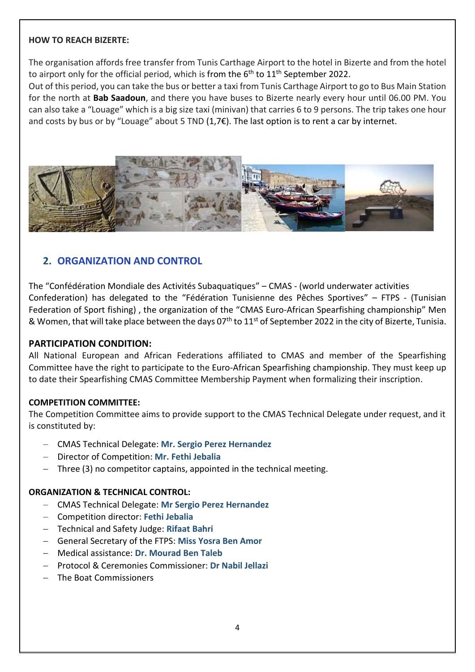#### **HOW TO REACH BIZERTE:**

The organisation affords free transfer from Tunis Carthage Airport to the hotel in Bizerte and from the hotel to airport only for the official period, which is from the 6<sup>th</sup> to 11<sup>th</sup> September 2022.

Out of this period, you can take the bus or better a taxi from Tunis Carthage Airport to go to Bus Main Station for the north at **Bab Saadoun**, and there you have buses to Bizerte nearly every hour until 06.00 PM. You can also take a "Louage" which is a big size taxi (minivan) that carries 6 to 9 persons. The trip takes one hour and costs by bus or by "Louage" about 5 TND (1,7€). The last option is to rent a car by internet.



#### **2. ORGANIZATION AND CONTROL**

The "Confédération Mondiale des Activités Subaquatiques" – CMAS - (world underwater activities Confederation) has delegated to the "Fédération Tunisienne des Pêches Sportives" – FTPS - (Tunisian Federation of Sport fishing) , the organization of the "CMAS Euro-African Spearfishing championship" Men & Women, that will take place between the days 07<sup>th</sup> to 11<sup>st</sup> of September 2022 in the city of Bizerte, Tunisia.

#### **PARTICIPATION CONDITION:**

All National European and African Federations affiliated to CMAS and member of the Spearfishing Committee have the right to participate to the Euro-African Spearfishing championship. They must keep up to date their Spearfishing CMAS Committee Membership Payment when formalizing their inscription.

#### **COMPETITION COMMITTEE:**

The Competition Committee aims to provide support to the CMAS Technical Delegate under request, and it is constituted by:

- − CMAS Technical Delegate: **Mr. Sergio Perez Hernandez**
- − Director of Competition: **Mr. Fethi Jebalia**
- − Three (3) no competitor captains, appointed in the technical meeting.

#### **ORGANIZATION & TECHNICAL CONTROL:**

- − CMAS Technical Delegate: **Mr Sergio Perez Hernandez**
- − Competition director: **Fethi Jebalia**
- − Technical and Safety Judge: **Rifaat Bahri**
- − General Secretary of the FTPS: **Miss Yosra Ben Amor**
- − Medical assistance: **Dr. Mourad Ben Taleb**
- − Protocol & Ceremonies Commissioner: **Dr Nabil Jellazi**
- The Boat Commissioners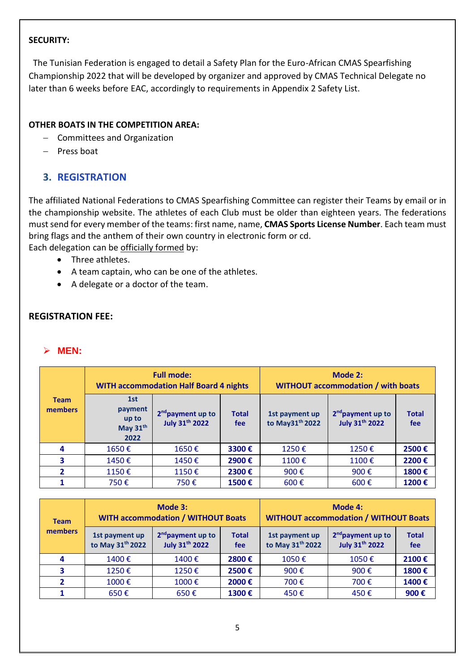#### **SECURITY:**

The Tunisian Federation is engaged to detail a Safety Plan for the Euro-African CMAS Spearfishing Championship 2022 that will be developed by organizer and approved by CMAS Technical Delegate no later than 6 weeks before EAC, accordingly to requirements in Appendix 2 Safety List.

#### **OTHER BOATS IN THE COMPETITION AREA:**

- − Committees and Organization
- − Press boat

## **3. REGISTRATION**

The affiliated National Federations to CMAS Spearfishing Committee can register their Teams by email or in the championship website. The athletes of each Club must be older than eighteen years. The federations must send for every member of the teams: first name, name, **CMAS Sports License Number**. Each team must bring flags and the anthem of their own country in electronic form or cd.

Each delegation can be officially formed by:

- Three athletes.
- A team captain, who can be one of the athletes.
- A delegate or a doctor of the team.

#### **REGISTRATION FEE:**

#### ➢ **MEN:**

|                        | <b>Full mode:</b><br><b>WITH accommodation Half Board 4 nights</b> |                                                        | Mode 2:<br><b>WITHOUT accommodation / with boats</b> |                                               |                                                        |                     |
|------------------------|--------------------------------------------------------------------|--------------------------------------------------------|------------------------------------------------------|-----------------------------------------------|--------------------------------------------------------|---------------------|
| <b>Team</b><br>members | 1st<br>payment<br>up to<br>May 31 <sup>th</sup><br>2022            | 2 <sup>nd</sup> payment up to<br><b>July 31th 2022</b> | <b>Total</b><br>fee                                  | 1st payment up<br>to May31 <sup>th</sup> 2022 | 2 <sup>nd</sup> payment up to<br><b>July 31th 2022</b> | <b>Total</b><br>fee |
| 4                      | 1650€                                                              | 1650€                                                  | 3300€                                                | 1250€                                         | 1250€                                                  | 2500€               |
| 3                      | 1450€                                                              | 1450€                                                  | 2900€                                                | 1100€                                         | 1100€                                                  | 2200€               |
| 2                      | 1150€                                                              | 1150€                                                  | 2300€                                                | 900€                                          | 900€                                                   | 1800€               |
|                        | 750€                                                               | 750€                                                   | 1500€                                                | 600 $\epsilon$                                | 600€                                                   | 1200€               |

| <b>Team</b>    |                                                | Mode 3:<br><b>WITH accommodation / WITHOUT Boats</b>   |                     | Mode 4:<br><b>WITHOUT accommodation / WITHOUT Boats</b> |                                                        |                     |
|----------------|------------------------------------------------|--------------------------------------------------------|---------------------|---------------------------------------------------------|--------------------------------------------------------|---------------------|
| <b>members</b> | 1st payment up<br>to May 31 <sup>th</sup> 2022 | 2 <sup>nd</sup> payment up to<br><b>July 31th 2022</b> | <b>Total</b><br>fee | 1st payment up<br>to May 31 <sup>th</sup> 2022          | 2 <sup>nd</sup> payment up to<br><b>July 31th 2022</b> | <b>Total</b><br>fee |
| 4              | 1400€                                          | 1400€                                                  | 2800€               | 1050€                                                   | 1050€                                                  | 2100€               |
| 3              | 1250€                                          | 1250€                                                  | 2500€               | 900€                                                    | 900€                                                   | 1800€               |
|                | 1000€                                          | 1000€                                                  | 2000€               | 700€                                                    | 700€                                                   | 1400€               |
|                | $650 \text{ } \in$                             | 650€                                                   | 1300€               | 450€                                                    | 450€                                                   | 900€                |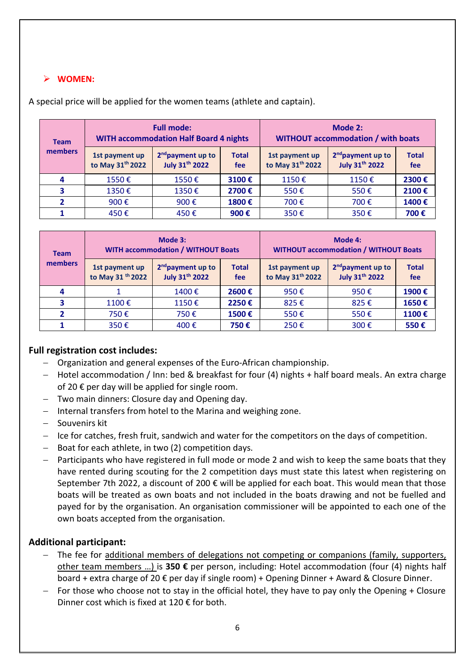#### ➢ **WOMEN:**

| <b>Team</b>    |                                                | <b>Full mode:</b><br><b>WITH accommodation Half Board 4 nights</b> |                     | Mode 2:<br><b>WITHOUT accommodation / with boats</b> |                                                        |                     |
|----------------|------------------------------------------------|--------------------------------------------------------------------|---------------------|------------------------------------------------------|--------------------------------------------------------|---------------------|
| <b>members</b> | 1st payment up<br>to May 31 <sup>th</sup> 2022 | 2 <sup>nd</sup> payment up to<br><b>July 31th 2022</b>             | <b>Total</b><br>fee | 1st payment up<br>to May 31 <sup>th</sup> 2022       | 2 <sup>nd</sup> payment up to<br><b>July 31th 2022</b> | <b>Total</b><br>fee |
| 4              | 1550€                                          | 1550€                                                              | 3100€               | 1150€                                                | 1150€                                                  | 2300€               |
| 3              | 1350€                                          | 1350€                                                              | 2700€               | 550€                                                 | 550€                                                   | 2100€               |
| $\overline{2}$ | 900€                                           | 900€                                                               | 1800€               | 700€                                                 | 700€                                                   | 1400€               |
|                | 450€                                           | 450€                                                               | 900€                | 350€                                                 | 350€                                                   | 700€                |

A special price will be applied for the women teams (athlete and captain).

| <b>Team</b> | Mode 3:<br><b>WITH accommodation / WITHOUT Boats</b> |                                                        | Mode 4:<br><b>WITHOUT accommodation / WITHOUT Boats</b> |                                                |                                                        |                     |
|-------------|------------------------------------------------------|--------------------------------------------------------|---------------------------------------------------------|------------------------------------------------|--------------------------------------------------------|---------------------|
| members     | 1st payment up<br>to May 31 <sup>th</sup> 2022       | 2 <sup>nd</sup> payment up to<br><b>July 31th 2022</b> | <b>Total</b><br>fee                                     | 1st payment up<br>to May 31 <sup>th</sup> 2022 | 2 <sup>nd</sup> payment up to<br><b>July 31th 2022</b> | <b>Total</b><br>fee |
| 4           |                                                      | 1400€                                                  | 2600€                                                   | 950€                                           | 950€                                                   | 1900€               |
| 3           | 1100€                                                | 1150€                                                  | 2250€                                                   | 825€                                           | 825€                                                   | 1650€               |
| 2           | 750€                                                 | 750€                                                   | 1500€                                                   | 550€                                           | 550€                                                   | 1100€               |
|             | 350€                                                 | 400€                                                   | 750€                                                    | 250€                                           | 300€                                                   | 550€                |

#### **Full registration cost includes:**

- − Organization and general expenses of the Euro-African championship.
- − Hotel accommodation / Inn: bed & breakfast for four (4) nights + half board meals. An extra charge of 20  $\epsilon$  per day will be applied for single room.
- − Two main dinners: Closure day and Opening day.
- − Internal transfers from hotel to the Marina and weighing zone.
- − Souvenirs kit
- − Ice for catches, fresh fruit, sandwich and water for the competitors on the days of competition.
- − Boat for each athlete, in two (2) competition days.
- − Participants who have registered in full mode or mode 2 and wish to keep the same boats that they have rented during scouting for the 2 competition days must state this latest when registering on September 7th 2022, a discount of 200  $\epsilon$  will be applied for each boat. This would mean that those boats will be treated as own boats and not included in the boats drawing and not be fuelled and payed for by the organisation. An organisation commissioner will be appointed to each one of the own boats accepted from the organisation.

#### **Additional participant:**

- The fee for additional members of delegations not competing or companions (family, supporters, other team members …) is **350 €** per person, including: Hotel accommodation (four (4) nights half board + extra charge of 20 € per day if single room) + Opening Dinner + Award & Closure Dinner.
- − For those who choose not to stay in the official hotel, they have to pay only the Opening + Closure Dinner cost which is fixed at 120  $\epsilon$  for both.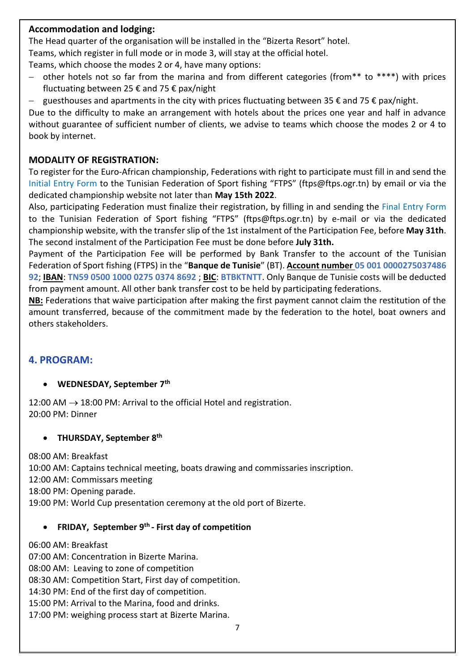#### **Accommodation and lodging:**

The Head quarter of the organisation will be installed in the "Bizerta Resort" hotel.

Teams, which register in full mode or in mode 3, will stay at the official hotel.

Teams, which choose the modes 2 or 4, have many options:

- − other hotels not so far from the marina and from different categories (from\*\* to \*\*\*\*) with prices fluctuating between 25 € and 75 € pax/night
- − guesthouses and apartments in the city with prices fluctuating between 35 € and 75 € pax/night.

Due to the difficulty to make an arrangement with hotels about the prices one year and half in advance without guarantee of sufficient number of clients, we advise to teams which choose the modes 2 or 4 to book by internet.

#### **MODALITY OF REGISTRATION:**

To register for the Euro-African championship, Federations with right to participate must fill in and send the Initial Entry Form to the Tunisian Federation of Sport fishing "FTPS" (ftps@ftps.ogr.tn) by email or via the dedicated championship website not later than **May 15th 2022**.

Also, participating Federation must finalize their registration, by filling in and sending the Final Entry Form to the Tunisian Federation of Sport fishing "FTPS" (ftps@ftps.ogr.tn) by e-mail or via the dedicated championship website, with the transfer slip of the 1st instalment of the Participation Fee, before **May 31th**. The second instalment of the Participation Fee must be done before **July 31th.**

Payment of the Participation Fee will be performed by Bank Transfer to the account of the Tunisian Federation of Sport fishing (FTPS) in the "**Banque de Tunisie**" (BT). **Account number 05 001 0000275037486 92**; **IBAN**: **TN59 0500 1000 0275 0374 8692** ; **BIC**: **BTBKTNTT**. Only Banque de Tunisie costs will be deducted from payment amount. All other bank transfer cost to be held by participating federations.

**NB:** Federations that waive participation after making the first payment cannot claim the restitution of the amount transferred, because of the commitment made by the federation to the hotel, boat owners and others stakeholders.

### **4. PROGRAM:**

#### • **WEDNESDAY, September 7 th**

12:00 AM  $\rightarrow$  18:00 PM: Arrival to the official Hotel and registration. 20:00 PM: Dinner

#### • **THURSDAY, September 8th**

08:00 AM: Breakfast 10:00 AM: Captains technical meeting, boats drawing and commissaries inscription. 12:00 AM: Commissars meeting 18:00 PM: Opening parade. 19:00 PM: World Cup presentation ceremony at the old port of Bizerte.

#### • **FRIDAY, September 9th - First day of competition**

06:00 AM: Breakfast 07:00 AM: Concentration in Bizerte Marina. 08:00 AM: Leaving to zone of competition 08:30 AM: Competition Start, First day of competition. 14:30 PM: End of the first day of competition. 15:00 PM: Arrival to the Marina, food and drinks. 17:00 PM: weighing process start at Bizerte Marina.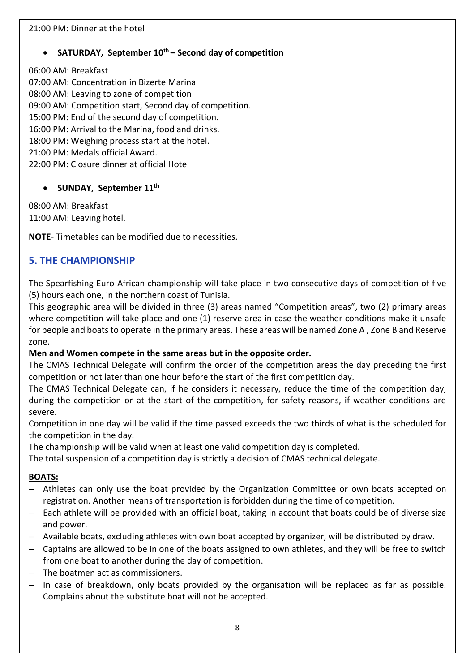#### 21:00 PM: Dinner at the hotel

#### • **SATURDAY, September 10th – Second day of competition**

06:00 AM: Breakfast

07:00 AM: Concentration in Bizerte Marina 08:00 AM: Leaving to zone of competition 09:00 AM: Competition start, Second day of competition. 15:00 PM: End of the second day of competition. 16:00 PM: Arrival to the Marina, food and drinks. 18:00 PM: Weighing process start at the hotel. 21:00 PM: Medals official Award. 22:00 PM: Closure dinner at official Hotel

#### • **SUNDAY, September 11th**

08:00 AM: Breakfast 11:00 AM: Leaving hotel.

**NOTE**- Timetables can be modified due to necessities.

#### **5. THE CHAMPIONSHIP**

The Spearfishing Euro-African championship will take place in two consecutive days of competition of five (5) hours each one, in the northern coast of Tunisia.

This geographic area will be divided in three (3) areas named "Competition areas", two (2) primary areas where competition will take place and one (1) reserve area in case the weather conditions make it unsafe for people and boats to operate in the primary areas. These areas will be named Zone A , Zone B and Reserve zone.

#### **Men and Women compete in the same areas but in the opposite order.**

The CMAS Technical Delegate will confirm the order of the competition areas the day preceding the first competition or not later than one hour before the start of the first competition day.

The CMAS Technical Delegate can, if he considers it necessary, reduce the time of the competition day, during the competition or at the start of the competition, for safety reasons, if weather conditions are severe.

Competition in one day will be valid if the time passed exceeds the two thirds of what is the scheduled for the competition in the day.

The championship will be valid when at least one valid competition day is completed.

The total suspension of a competition day is strictly a decision of CMAS technical delegate.

#### **BOATS:**

- Athletes can only use the boat provided by the Organization Committee or own boats accepted on registration. Another means of transportation is forbidden during the time of competition.
- − Each athlete will be provided with an official boat, taking in account that boats could be of diverse size and power.
- − Available boats, excluding athletes with own boat accepted by organizer, will be distributed by draw.
- − Captains are allowed to be in one of the boats assigned to own athletes, and they will be free to switch from one boat to another during the day of competition.
- − The boatmen act as commissioners.
- − In case of breakdown, only boats provided by the organisation will be replaced as far as possible. Complains about the substitute boat will not be accepted.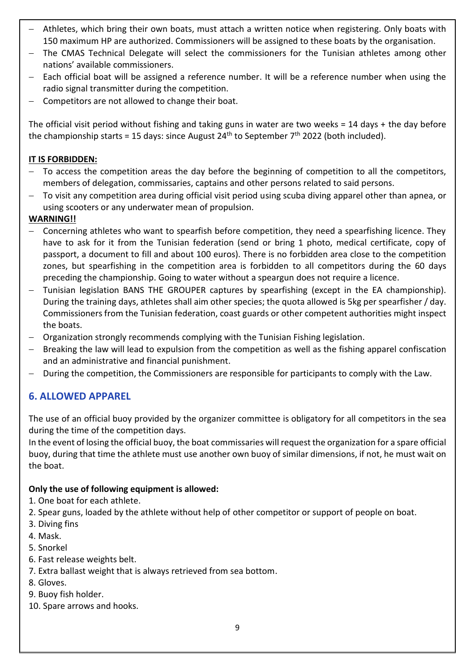- − Athletes, which bring their own boats, must attach a written notice when registering. Only boats with 150 maximum HP are authorized. Commissioners will be assigned to these boats by the organisation.
- The CMAS Technical Delegate will select the commissioners for the Tunisian athletes among other nations' available commissioners.
- − Each official boat will be assigned a reference number. It will be a reference number when using the radio signal transmitter during the competition.
- − Competitors are not allowed to change their boat.

The official visit period without fishing and taking guns in water are two weeks = 14 days + the day before the championship starts = 15 days: since August 24<sup>th</sup> to September 7<sup>th</sup> 2022 (both included).

#### **IT IS FORBIDDEN:**

- − To access the competition areas the day before the beginning of competition to all the competitors, members of delegation, commissaries, captains and other persons related to said persons.
- − To visit any competition area during official visit period using scuba diving apparel other than apnea, or using scooters or any underwater mean of propulsion.

#### **WARNING!!**

- − Concerning athletes who want to spearfish before competition, they need a spearfishing licence. They have to ask for it from the Tunisian federation (send or bring 1 photo, medical certificate, copy of passport, a document to fill and about 100 euros). There is no forbidden area close to the competition zones, but spearfishing in the competition area is forbidden to all competitors during the 60 days preceding the championship. Going to water without a speargun does not require a licence.
- − Tunisian legislation BANS THE GROUPER captures by spearfishing (except in the EA championship). During the training days, athletes shall aim other species; the quota allowed is 5kg per spearfisher / day. Commissioners from the Tunisian federation, coast guards or other competent authorities might inspect the boats.
- − Organization strongly recommends complying with the Tunisian Fishing legislation.
- Breaking the law will lead to expulsion from the competition as well as the fishing apparel confiscation and an administrative and financial punishment.
- − During the competition, the Commissioners are responsible for participants to comply with the Law.

### **6. ALLOWED APPAREL**

The use of an official buoy provided by the organizer committee is obligatory for all competitors in the sea during the time of the competition days.

In the event of losing the official buoy, the boat commissaries will request the organization for a spare official buoy, during that time the athlete must use another own buoy of similar dimensions, if not, he must wait on the boat.

#### **Only the use of following equipment is allowed:**

- 1. One boat for each athlete.
- 2. Spear guns, loaded by the athlete without help of other competitor or support of people on boat.
- 3. Diving fins
- 4. Mask.
- 5. Snorkel
- 6. Fast release weights belt.
- 7. Extra ballast weight that is always retrieved from sea bottom.
- 8. Gloves.
- 9. Buoy fish holder.
- 10. Spare arrows and hooks.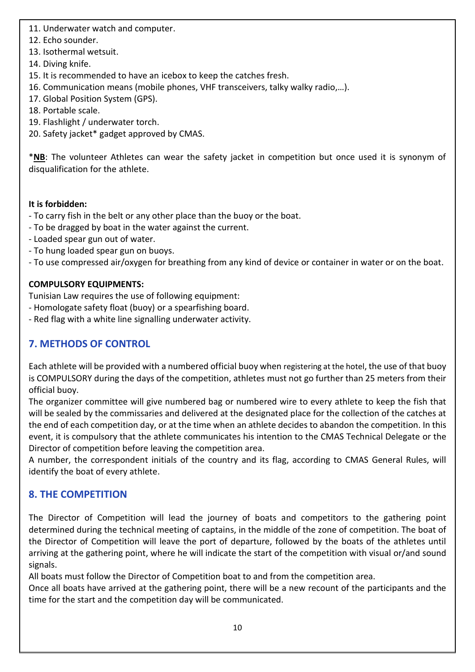11. Underwater watch and computer.

- 12. Echo sounder.
- 13. Isothermal wetsuit.
- 14. Diving knife.
- 15. It is recommended to have an icebox to keep the catches fresh.
- 16. Communication means (mobile phones, VHF transceivers, talky walky radio,…).
- 17. Global Position System (GPS).
- 18. Portable scale.
- 19. Flashlight / underwater torch.
- 20. Safety jacket\* gadget approved by CMAS.

\***NB**: The volunteer Athletes can wear the safety jacket in competition but once used it is synonym of disqualification for the athlete.

#### **It is forbidden:**

- To carry fish in the belt or any other place than the buoy or the boat.
- To be dragged by boat in the water against the current.
- Loaded spear gun out of water.
- To hung loaded spear gun on buoys.
- To use compressed air/oxygen for breathing from any kind of device or container in water or on the boat.

#### **COMPULSORY EQUIPMENTS:**

Tunisian Law requires the use of following equipment:

- Homologate safety float (buoy) or a spearfishing board.
- Red flag with a white line signalling underwater activity.

## **7. METHODS OF CONTROL**

Each athlete will be provided with a numbered official buoy when registering at the hotel, the use of that buoy is COMPULSORY during the days of the competition, athletes must not go further than 25 meters from their official buoy.

The organizer committee will give numbered bag or numbered wire to every athlete to keep the fish that will be sealed by the commissaries and delivered at the designated place for the collection of the catches at the end of each competition day, or at the time when an athlete decides to abandon the competition. In this event, it is compulsory that the athlete communicates his intention to the CMAS Technical Delegate or the Director of competition before leaving the competition area.

A number, the correspondent initials of the country and its flag, according to CMAS General Rules, will identify the boat of every athlete.

## **8. THE COMPETITION**

The Director of Competition will lead the journey of boats and competitors to the gathering point determined during the technical meeting of captains, in the middle of the zone of competition. The boat of the Director of Competition will leave the port of departure, followed by the boats of the athletes until arriving at the gathering point, where he will indicate the start of the competition with visual or/and sound signals.

All boats must follow the Director of Competition boat to and from the competition area.

Once all boats have arrived at the gathering point, there will be a new recount of the participants and the time for the start and the competition day will be communicated.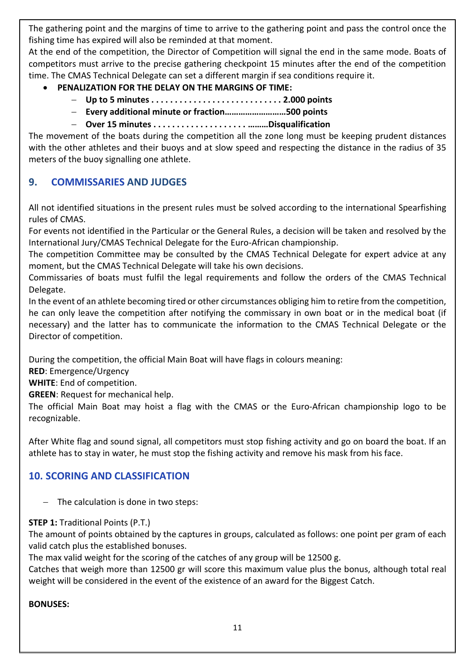The gathering point and the margins of time to arrive to the gathering point and pass the control once the fishing time has expired will also be reminded at that moment.

At the end of the competition, the Director of Competition will signal the end in the same mode. Boats of competitors must arrive to the precise gathering checkpoint 15 minutes after the end of the competition time. The CMAS Technical Delegate can set a different margin if sea conditions require it.

- **PENALIZATION FOR THE DELAY ON THE MARGINS OF TIME:**
	- − **Up to 5 minutes . . . . . . . . . . . . . . . . . . . . . . . . . . . . 2.000 points**
	- − **Every additional minute or fraction………………………500 points**
	- − **Over 15 minutes . . . . . . . . . . . . . . . . . . . . ………Disqualification**

The movement of the boats during the competition all the zone long must be keeping prudent distances with the other athletes and their buoys and at slow speed and respecting the distance in the radius of 35 meters of the buoy signalling one athlete.

#### **9. COMMISSARIES AND JUDGES**

All not identified situations in the present rules must be solved according to the international Spearfishing rules of CMAS.

For events not identified in the Particular or the General Rules, a decision will be taken and resolved by the International Jury/CMAS Technical Delegate for the Euro-African championship.

The competition Committee may be consulted by the CMAS Technical Delegate for expert advice at any moment, but the CMAS Technical Delegate will take his own decisions.

Commissaries of boats must fulfil the legal requirements and follow the orders of the CMAS Technical Delegate.

In the event of an athlete becoming tired or other circumstances obliging him to retire from the competition, he can only leave the competition after notifying the commissary in own boat or in the medical boat (if necessary) and the latter has to communicate the information to the CMAS Technical Delegate or the Director of competition.

During the competition, the official Main Boat will have flags in colours meaning:

**RED**: Emergence/Urgency

**WHITE**: End of competition.

**GREEN**: Request for mechanical help.

The official Main Boat may hoist a flag with the CMAS or the Euro-African championship logo to be recognizable.

After White flag and sound signal, all competitors must stop fishing activity and go on board the boat. If an athlete has to stay in water, he must stop the fishing activity and remove his mask from his face.

### **10. SCORING AND CLASSIFICATION**

− The calculation is done in two steps:

#### **STEP 1: Traditional Points (P.T.)**

The amount of points obtained by the captures in groups, calculated as follows: one point per gram of each valid catch plus the established bonuses.

The max valid weight for the scoring of the catches of any group will be 12500 g.

Catches that weigh more than 12500 gr will score this maximum value plus the bonus, although total real weight will be considered in the event of the existence of an award for the Biggest Catch.

#### **BONUSES:**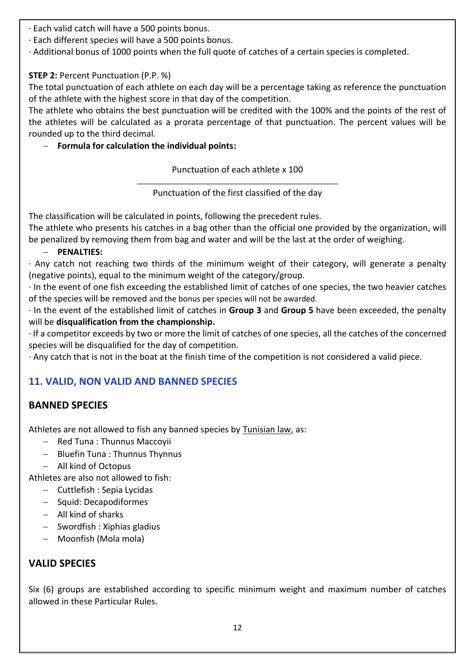· Each valid catch will have a 500 points bonus.

- · Each different species will have a 500 points bonus.
- · Additional bonus of 1000 points when the full quote of catches of a certain species is completed.

#### **STEP 2:** Percent Punctuation (P.P. %)

The total punctuation of each athlete on each day will be a percentage taking as reference the punctuation of the athlete with the highest score in that day of the competition.

The athlete who obtains the best punctuation will be credited with the 100% and the points of the rest of the athletes will be calculated as a prorata percentage of that punctuation. The percent values will be rounded up to the third decimal.

#### − **Formula for calculation the individual points:**

Punctuation of each athlete x 100

Punctuation of the first classified of the day

The classification will be calculated in points, following the precedent rules.

The athlete who presents his catches in a bag other than the official one provided by the organization, will be penalized by removing them from bag and water and will be the last at the order of weighing.

#### − **PENALTIES:**

· Any catch not reaching two thirds of the minimum weight of their category, will generate a penalty (negative points), equal to the minimum weight of the category/group.

· In the event of one fish exceeding the established limit of catches of one species, the two heavier catches of the species will be removed and the bonus per species will not be awarded.

· In the event of the established limit of catches in **Group 3** and **Group 5** have been exceeded, the penalty will be **disqualification from the championship.**

· If a competitor exceeds by two or more the limit of catches of one species, all the catches of the concerned species will be disqualified for the day of competition.

· Any catch that is not in the boat at the finish time of the competition is not considered a valid piece.

## **11. VALID, NON VALID AND BANNED SPECIES**

### **BANNED SPECIES**

Athletes are not allowed to fish any banned species by Tunisian law, as:

- − Red Tuna : Thunnus Maccoyii
- − Bluefin Tuna : Thunnus Thynnus
- − All kind of Octopus

Athletes are also not allowed to fish:

- − Cuttlefish : Sepia Lycidas
- − Squid: Decapodiformes
- − All kind of sharks
- − Swordfish : Xiphias gladius
- − Moonfish (Mola mola)

## **VALID SPECIES**

Six (6) groups are established according to specific minimum weight and maximum number of catches allowed in these Particular Rules.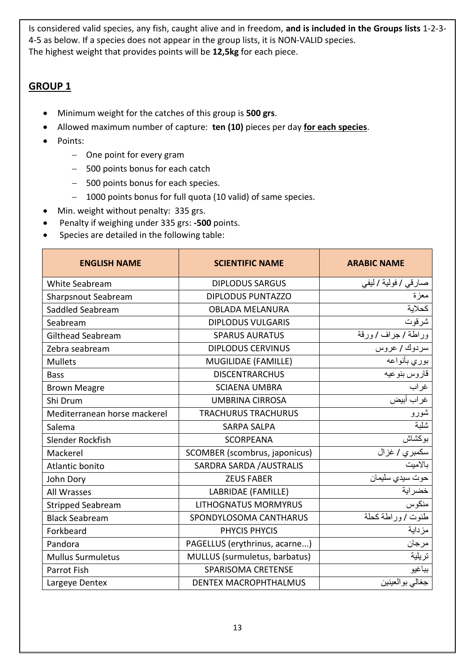Is considered valid species, any fish, caught alive and in freedom, **and is included in the Groups lists** 1-2-3- 4-5 as below. If a species does not appear in the group lists, it is NON-VALID species. The highest weight that provides points will be **12,5kg** for each piece.

## **GROUP 1**

- Minimum weight for the catches of this group is **500 grs**.
- Allowed maximum number of capture: **ten (10)** pieces per day **for each species**.
- Points:
	- − One point for every gram
	- − 500 points bonus for each catch
	- − 500 points bonus for each species.
	- − 1000 points bonus for full quota (10 valid) of same species.
- Min. weight without penalty: 335 grs.
- Penalty if weighing under 335 grs: **-500** points.
- Species are detailed in the following table:

| <b>ENGLISH NAME</b>          | <b>SCIENTIFIC NAME</b>        | <b>ARABIC NAME</b>    |
|------------------------------|-------------------------------|-----------------------|
| White Seabream               | <b>DIPLODUS SARGUS</b>        | صار قي / فولية / ليفي |
| <b>Sharpsnout Seabream</b>   | <b>DIPLODUS PUNTAZZO</b>      | معزة                  |
| Saddled Seabream             | <b>OBLADA MELANURA</b>        | كحلاية                |
| Seabream                     | <b>DIPLODUS VULGARIS</b>      | شرقوت                 |
| Gilthead Seabream            | <b>SPARUS AURATUS</b>         | وراطة / جراف / ورقة   |
| Zebra seabream               | <b>DIPLODUS CERVINUS</b>      | سردوك / عروس          |
| <b>Mullets</b>               | MUGILIDAE (FAMILLE)           | بوري بأنواعه          |
| <b>Bass</b>                  | <b>DISCENTRARCHUS</b>         | قاروس بنوعيه          |
| <b>Brown Meagre</b>          | <b>SCIAENA UMBRA</b>          | غراب                  |
| Shi Drum                     | <b>UMBRINA CIRROSA</b>        | غر اب أبيض            |
| Mediterranean horse mackerel | <b>TRACHURUS TRACHURUS</b>    | شورو                  |
| Salema                       | <b>SARPA SALPA</b>            | شلبة                  |
| Slender Rockfish             | <b>SCORPEANA</b>              | بوكشاش                |
| Mackerel                     | SCOMBER (scombrus, japonicus) | سكمبر <i>ي  </i> غزال |
| Atlantic bonito              | SARDRA SARDA / AUSTRALIS      | بالاميت               |
| John Dory                    | <b>ZEUS FABER</b>             | حوت سيدي سليمان       |
| All Wrasses                  | LABRIDAE (FAMILLE)            | خضراية                |
| <b>Stripped Seabream</b>     | <b>LITHOGNATUS MORMYRUS</b>   | منكوس                 |
| <b>Black Seabream</b>        | SPONDYLOSOMA CANTHARUS        | طنوت /وراطة كحلة      |
| Forkbeard                    | PHYCIS PHYCIS                 | مزداية                |
| Pandora                      | PAGELLUS (erythrinus, acarne) | مرجان                 |
| <b>Mullus Surmuletus</b>     | MULLUS (surmuletus, barbatus) | تريلية                |
| <b>Parrot Fish</b>           | <b>SPARISOMA CRETENSE</b>     | بباغيو                |
| Largeye Dentex               | <b>DENTEX MACROPHTHALMUS</b>  | جغالي بو العينين      |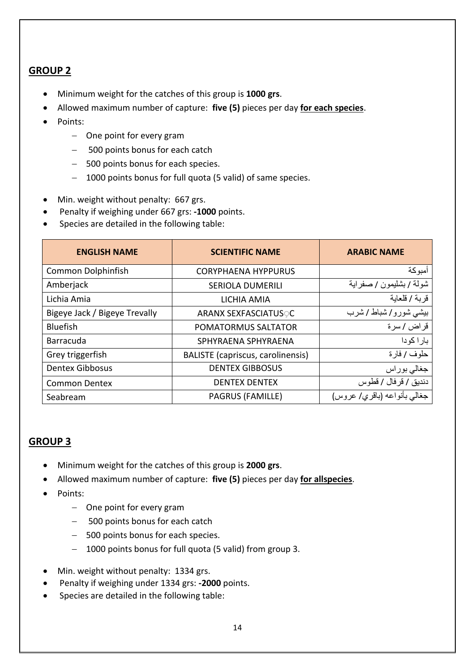## **GROUP 2**

- Minimum weight for the catches of this group is **1000 grs**.
- Allowed maximum number of capture: **five (5)** pieces per day **for each species**.
- Points:
	- − One point for every gram
	- − 500 points bonus for each catch
	- − 500 points bonus for each species.
	- − 1000 points bonus for full quota (5 valid) of same species.
- Min. weight without penalty: 667 grs.
- Penalty if weighing under 667 grs: **-1000** points.
- Species are detailed in the following table:

| <b>ENGLISH NAME</b>           | <b>SCIENTIFIC NAME</b>                   | <b>ARABIC NAME</b>           |
|-------------------------------|------------------------------------------|------------------------------|
| <b>Common Dolphinfish</b>     | <b>CORYPHAENA HYPPURUS</b>               | أمبوكة                       |
| Amberjack                     | <b>SERIOLA DUMERILI</b>                  | شولة / بشليمون / صفراية      |
| Lichia Amia                   | LICHIA AMIA                              | قربة / قلعاية                |
| Bigeye Jack / Bigeye Trevally | <b>ARANX SEXFASCIATUSOC</b>              | بیشی شورو/شباط / شرب         |
| <b>Bluefish</b>               | POMATORMUS SALTATOR                      | قراض / سرة                   |
| <b>Barracuda</b>              | SPHYRAENA SPHYRAENA                      | بارا كودا                    |
| Grey triggerfish              | <b>BALISTE</b> (capriscus, carolinensis) | حلوف / فارة                  |
| <b>Dentex Gibbosus</b>        | <b>DENTEX GIBBOSUS</b>                   | جغالي بوراس                  |
| <b>Common Dentex</b>          | <b>DENTEX DENTEX</b>                     | دنديق / قر فال / قطوس        |
| Seabream                      | <b>PAGRUS (FAMILLE)</b>                  | جغالبي بأنواعه (باقري/ عروس) |

#### **GROUP 3**

- Minimum weight for the catches of this group is **2000 grs**.
- Allowed maximum number of capture: **five (5)** pieces per day **for allspecies**.
- Points:
	- − One point for every gram
	- − 500 points bonus for each catch
	- − 500 points bonus for each species.
	- − 1000 points bonus for full quota (5 valid) from group 3.
- Min. weight without penalty: 1334 grs.
- Penalty if weighing under 1334 grs: **-2000** points.
- Species are detailed in the following table: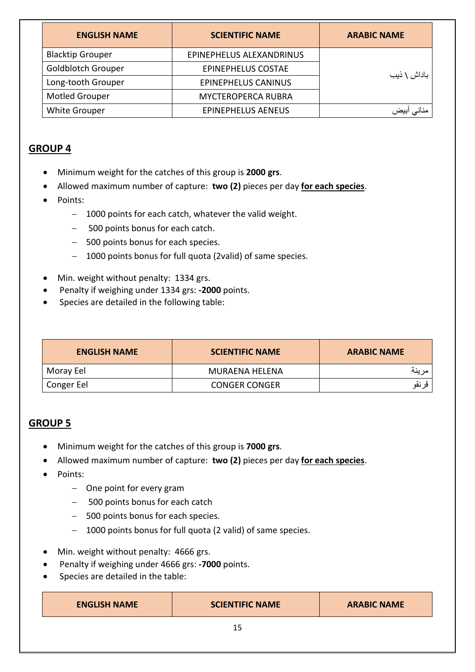| <b>ENGLISH NAME</b>       | <b>SCIENTIFIC NAME</b>     | <b>ARABIC NAME</b> |
|---------------------------|----------------------------|--------------------|
| <b>Blacktip Grouper</b>   | EPINEPHELUS ALEXANDRINUS   |                    |
| <b>Goldblotch Grouper</b> | <b>EPINEPHELUS COSTAE</b>  | باداش \ ذيب        |
| Long-tooth Grouper        | <b>EPINEPHELUS CANINUS</b> |                    |
| <b>Motled Grouper</b>     | <b>MYCTEROPERCA RUBRA</b>  |                    |
| <b>White Grouper</b>      | <b>EPINEPHELUS AENEUS</b>  | منانى ابيض         |

## **GROUP 4**

- Minimum weight for the catches of this group is **2000 grs**.
- Allowed maximum number of capture: **two (2)** pieces per day **for each species**.
- Points:
	- − 1000 points for each catch, whatever the valid weight.
	- − 500 points bonus for each catch.
	- − 500 points bonus for each species.
	- − 1000 points bonus for full quota (2valid) of same species.
- Min. weight without penalty: 1334 grs.
- Penalty if weighing under 1334 grs: **-2000** points.
- Species are detailed in the following table:

| <b>ENGLISH NAME</b> | <b>SCIENTIFIC NAME</b> | <b>ARABIC NAME</b> |
|---------------------|------------------------|--------------------|
| Moray Eel           | MURAENA HELENA         |                    |
| Conger Eel          | <b>CONGER CONGER</b>   | قر نقو             |

## **GROUP 5**

- Minimum weight for the catches of this group is **7000 grs**.
- Allowed maximum number of capture: **two (2)** pieces per day **for each species**.
- Points:
	- − One point for every gram
	- − 500 points bonus for each catch
	- − 500 points bonus for each species.
	- − 1000 points bonus for full quota (2 valid) of same species.
- Min. weight without penalty: 4666 grs.
- Penalty if weighing under 4666 grs: **-7000** points.
- Species are detailed in the table:

| <b>ENGLISH NAME</b> | <b>SCIENTIFIC NAME</b> | <b>ARABIC NAME</b> |
|---------------------|------------------------|--------------------|
|---------------------|------------------------|--------------------|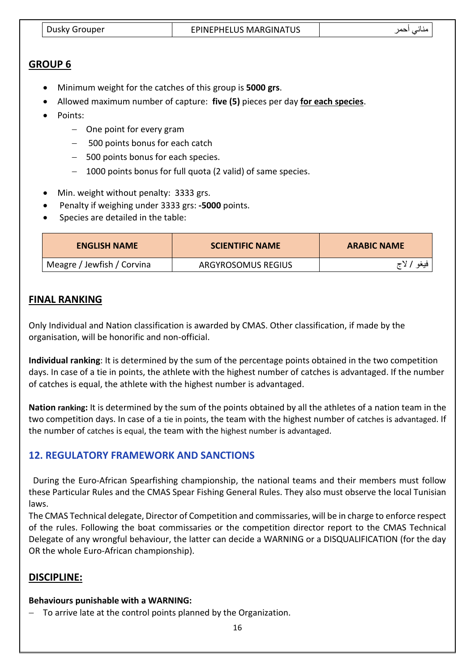| Dusky Grouper | <b>EPINEPHELUS MARGINATUS</b> |  |
|---------------|-------------------------------|--|

#### **GROUP 6**

- Minimum weight for the catches of this group is **5000 grs**.
- Allowed maximum number of capture: **five (5)** pieces per day **for each species**.
- Points:
	- − One point for every gram
	- − 500 points bonus for each catch
	- − 500 points bonus for each species.
	- − 1000 points bonus for full quota (2 valid) of same species.
- Min. weight without penalty: 3333 grs.
- Penalty if weighing under 3333 grs: **-5000** points.
- Species are detailed in the table:

| <b>ENGLISH NAME</b>        | <b>SCIENTIFIC NAME</b> | <b>ARABIC NAME</b> |
|----------------------------|------------------------|--------------------|
| Meagre / Jewfish / Corvina | ARGYROSOMUS REGIUS     | فيغو الاج          |

#### **FINAL RANKING**

Only Individual and Nation classification is awarded by CMAS. Other classification, if made by the organisation, will be honorific and non-official.

**Individual ranking**: It is determined by the sum of the percentage points obtained in the two competition days. In case of a tie in points, the athlete with the highest number of catches is advantaged. If the number of catches is equal, the athlete with the highest number is advantaged.

**Nation ranking:** It is determined by the sum of the points obtained by all the athletes of a nation team in the two competition days. In case of a tie in points, the team with the highest number of catches is advantaged. If the number of catches is equal, the team with the highest number is advantaged.

#### **12. REGULATORY FRAMEWORK AND SANCTIONS**

 During the Euro-African Spearfishing championship, the national teams and their members must follow these Particular Rules and the CMAS Spear Fishing General Rules. They also must observe the local Tunisian laws.

The CMAS Technical delegate, Director of Competition and commissaries, will be in charge to enforce respect of the rules. Following the boat commissaries or the competition director report to the CMAS Technical Delegate of any wrongful behaviour, the latter can decide a WARNING or a DISQUALIFICATION (for the day OR the whole Euro-African championship).

#### **DISCIPLINE:**

#### **Behaviours punishable with a WARNING:**

− To arrive late at the control points planned by the Organization.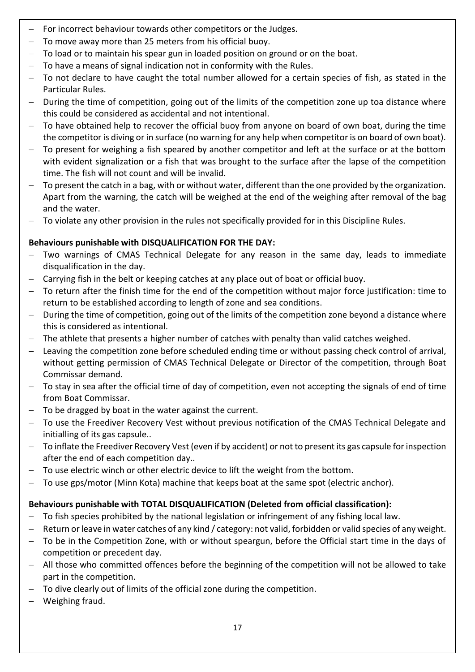- For incorrect behaviour towards other competitors or the Judges.
- To move away more than 25 meters from his official buoy.
- To load or to maintain his spear gun in loaded position on ground or on the boat.
- To have a means of signal indication not in conformity with the Rules.
- To not declare to have caught the total number allowed for a certain species of fish, as stated in the Particular Rules.
- − During the time of competition, going out of the limits of the competition zone up toa distance where this could be considered as accidental and not intentional.
- − To have obtained help to recover the official buoy from anyone on board of own boat, during the time the competitor is diving or in surface (no warning for any help when competitor is on board of own boat).
- − To present for weighing a fish speared by another competitor and left at the surface or at the bottom with evident signalization or a fish that was brought to the surface after the lapse of the competition time. The fish will not count and will be invalid.
- − To present the catch in a bag, with or without water, different than the one provided by the organization. Apart from the warning, the catch will be weighed at the end of the weighing after removal of the bag and the water.
- To violate any other provision in the rules not specifically provided for in this Discipline Rules.

#### **Behaviours punishable with DISQUALIFICATION FOR THE DAY:**

- − Two warnings of CMAS Technical Delegate for any reason in the same day, leads to immediate disqualification in the day.
- − Carrying fish in the belt or keeping catches at any place out of boat or official buoy.
- To return after the finish time for the end of the competition without major force justification: time to return to be established according to length of zone and sea conditions.
- During the time of competition, going out of the limits of the competition zone beyond a distance where this is considered as intentional.
- − The athlete that presents a higher number of catches with penalty than valid catches weighed.
- Leaving the competition zone before scheduled ending time or without passing check control of arrival, without getting permission of CMAS Technical Delegate or Director of the competition, through Boat Commissar demand.
- To stay in sea after the official time of day of competition, even not accepting the signals of end of time from Boat Commissar.
- − To be dragged by boat in the water against the current.
- − To use the Freediver Recovery Vest without previous notification of the CMAS Technical Delegate and initialling of its gas capsule..
- − To inflate the Freediver Recovery Vest (even if by accident) or not to present its gas capsule for inspection after the end of each competition day..
- To use electric winch or other electric device to lift the weight from the bottom.
- − To use gps/motor (Minn Kota) machine that keeps boat at the same spot (electric anchor).

### **Behaviours punishable with TOTAL DISQUALIFICATION (Deleted from official classification):**

- To fish species prohibited by the national legislation or infringement of any fishing local law.
- − Return or leave in water catches of any kind / category: not valid, forbidden or valid species of any weight.
- To be in the Competition Zone, with or without speargun, before the Official start time in the days of competition or precedent day.
- − All those who committed offences before the beginning of the competition will not be allowed to take part in the competition.
- To dive clearly out of limits of the official zone during the competition.
- − Weighing fraud.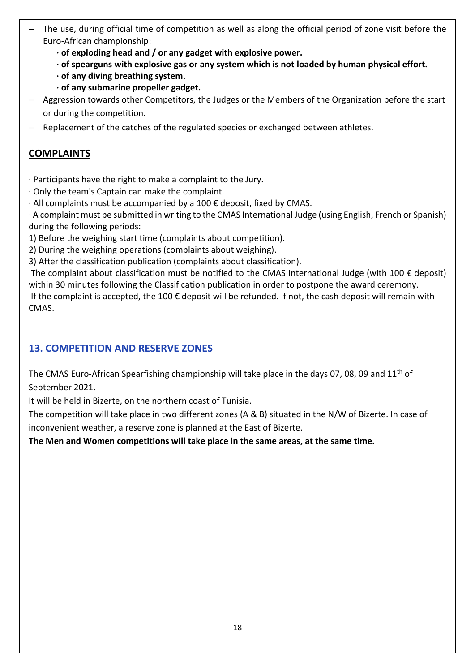- The use, during official time of competition as well as along the official period of zone visit before the Euro-African championship:
	- **· of exploding head and / or any gadget with explosive power.**
	- **· of spearguns with explosive gas or any system which is not loaded by human physical effort.**
	- **· of any diving breathing system.**
	- **· of any submarine propeller gadget.**
- − Aggression towards other Competitors, the Judges or the Members of the Organization before the start or during the competition.
- Replacement of the catches of the regulated species or exchanged between athletes.

### **COMPLAINTS**

- · Participants have the right to make a complaint to the Jury.
- · Only the team's Captain can make the complaint.
- · All complaints must be accompanied by a 100 € deposit, fixed by CMAS.
- · A complaint must be submitted in writing to the CMAS International Judge (using English, French or Spanish) during the following periods:
- 1) Before the weighing start time (complaints about competition).
- 2) During the weighing operations (complaints about weighing).
- 3) After the classification publication (complaints about classification).

The complaint about classification must be notified to the CMAS International Judge (with 100  $\epsilon$  deposit) within 30 minutes following the Classification publication in order to postpone the award ceremony.

If the complaint is accepted, the 100  $\epsilon$  deposit will be refunded. If not, the cash deposit will remain with CMAS.

### **13. COMPETITION AND RESERVE ZONES**

The CMAS Euro-African Spearfishing championship will take place in the days 07, 08, 09 and 11<sup>th</sup> of September 2021.

It will be held in Bizerte, on the northern coast of Tunisia.

The competition will take place in two different zones (A & B) situated in the N/W of Bizerte. In case of inconvenient weather, a reserve zone is planned at the East of Bizerte.

**The Men and Women competitions will take place in the same areas, at the same time.**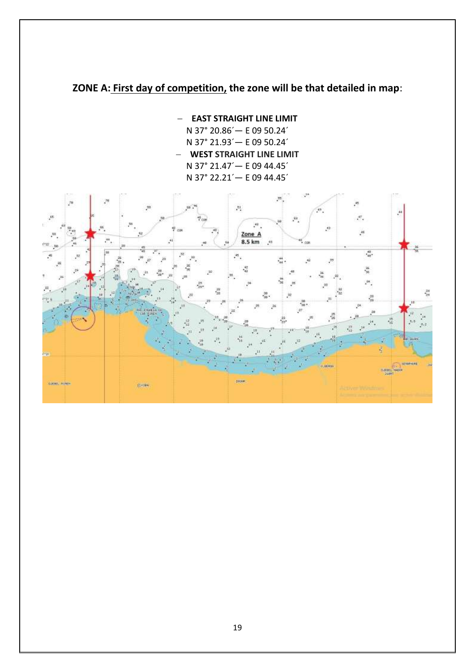## **ZONE A: First day of competition, the zone will be that detailed in map**:

− **EAST STRAIGHT LINE LIMIT** N 37° 20.86´— E 09 50.24´ N 37° 21.93´— E 09 50.24´ − **WEST STRAIGHT LINE LIMIT** N 37° 21.47´— E 09 44.45´ N 37° 22.21´— E 09 44.45´

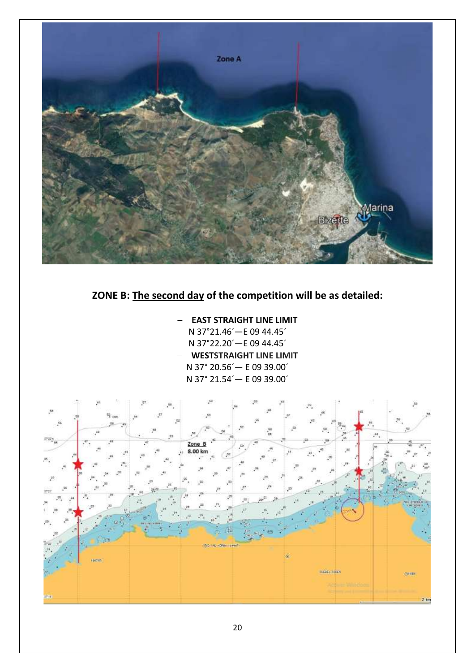

## **ZONE B: The second day of the competition will be as detailed:**

− **EAST STRAIGHT LINE LIMIT** N 37°21.46´—E 09 44.45´ N 37°22.20´—E 09 44.45´ − **WESTSTRAIGHT LINE LIMIT** N 37° 20.56´— E 09 39.00´ N 37° 21.54´— E 09 39.00´

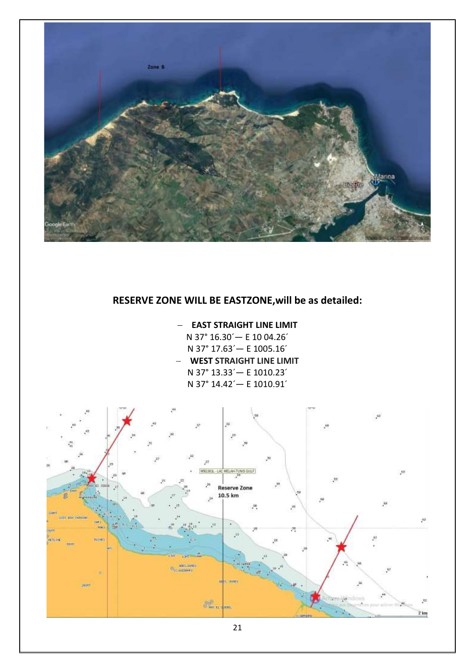

## **RESERVE ZONE WILL BE EASTZONE,will be as detailed:**

#### − **EAST STRAIGHT LINE LIMIT**

N 37° 16.30´— E 10 04.26´ N 37° 17.63´— E 1005.16´ − **WEST STRAIGHT LINE LIMIT** N 37° 13.33´— E 1010.23´ N 37° 14.42´— E 1010.91´

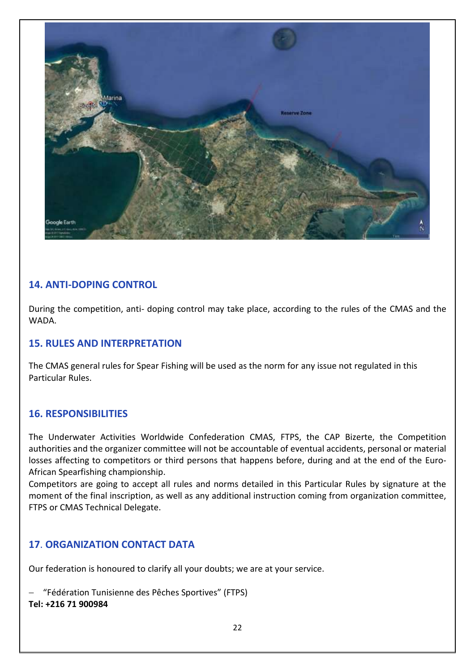

### **14. ANTI-DOPING CONTROL**

During the competition, anti- doping control may take place, according to the rules of the CMAS and the WADA.

#### **15. RULES AND INTERPRETATION**

The CMAS general rules for Spear Fishing will be used as the norm for any issue not regulated in this Particular Rules.

#### **16. RESPONSIBILITIES**

The Underwater Activities Worldwide Confederation CMAS, FTPS, the CAP Bizerte, the Competition authorities and the organizer committee will not be accountable of eventual accidents, personal or material losses affecting to competitors or third persons that happens before, during and at the end of the Euro-African Spearfishing championship.

Competitors are going to accept all rules and norms detailed in this Particular Rules by signature at the moment of the final inscription, as well as any additional instruction coming from organization committee, FTPS or CMAS Technical Delegate.

### **17**. **ORGANIZATION CONTACT DATA**

Our federation is honoured to clarify all your doubts; we are at your service.

− "Fédération Tunisienne des Pêches Sportives" (FTPS) **Tel: +216 71 900984**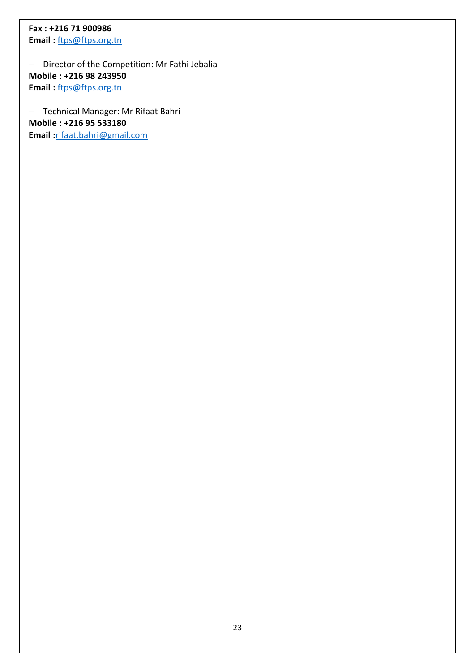## **Fax : +216 71 900986**

**Email :** [ftps@ftps.org.tn](mailto:ftps@ftps.org.tn)

− Director of the Competition: Mr Fathi Jebalia **Mobile : +216 98 243950 Email :** [ftps@ftps.org.tn](mailto:ftps@ftps.org.tn)

− Technical Manager: Mr Rifaat Bahri **Mobile : +216 95 533180 Email :**[rifaat.bahri@gmail.com](mailto:rifaat.bahri@gmail.com)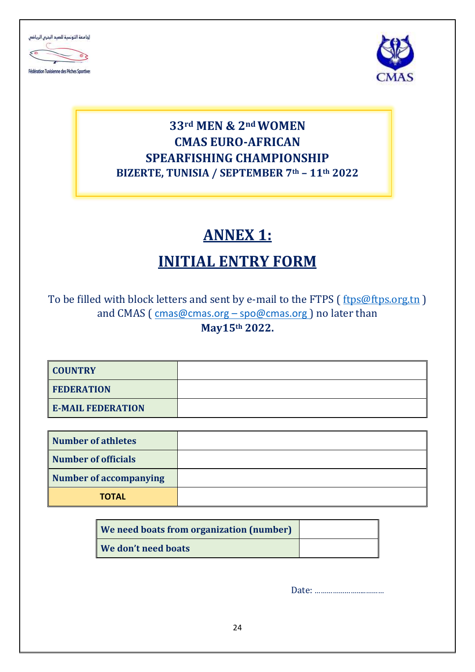



## **33rd MEN & 2nd WOMEN CMAS EURO-AFRICAN SPEARFISHING CHAMPIONSHIP BIZERTE, TUNISIA / SEPTEMBER 7th – 11th 2022**

# **ANNEX 1:**

# **INITIAL ENTRY FORM**

To be filled with block letters and sent by e-mail to the FTPS (free of the song tn) and CMAS (cmas@cmas.org – [spo@cmas.org](mailto:spo@cmas.org)) no later than **May15th 2022.**

| <b>COUNTRY</b>           |  |
|--------------------------|--|
| <b>FEDERATION</b>        |  |
| <b>E-MAIL FEDERATION</b> |  |

| Number of athletes     |  |
|------------------------|--|
| Number of officials    |  |
| Number of accompanying |  |
| <b>TOTAL</b>           |  |

| <b>We need boats from organization (number)</b> |  |
|-------------------------------------------------|--|
| <b>We don't need boats</b>                      |  |

Date: ……………………..………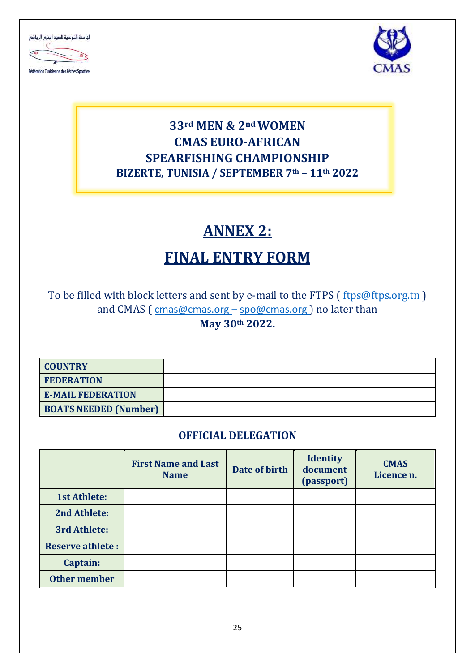



## **33rd MEN & 2nd WOMEN CMAS EURO-AFRICAN SPEARFISHING CHAMPIONSHIP BIZERTE, TUNISIA / SEPTEMBER 7th – 11th 2022**

# **ANNEX 2:**

# **FINAL ENTRY FORM**

To be filled with block letters and sent by e-mail to the FTPS (free of the s.org.tn) and CMAS (cmas@cmas.org – [spo@cmas.org](mailto:spo@cmas.org)) no later than **May 30th 2022.**

| <b>COUNTRY</b>               |  |
|------------------------------|--|
| <b>FEDERATION</b>            |  |
| <b>E-MAIL FEDERATION</b>     |  |
| <b>BOATS NEEDED (Number)</b> |  |

## **OFFICIAL DELEGATION**

|                         | <b>First Name and Last</b><br><b>Name</b> | Date of birth | <b>Identity</b><br>document<br>(passport) | <b>CMAS</b><br>Licence n. |
|-------------------------|-------------------------------------------|---------------|-------------------------------------------|---------------------------|
| <b>1st Athlete:</b>     |                                           |               |                                           |                           |
| 2nd Athlete:            |                                           |               |                                           |                           |
| 3rd Athlete:            |                                           |               |                                           |                           |
| <b>Reserve athlete:</b> |                                           |               |                                           |                           |
| Captain:                |                                           |               |                                           |                           |
| <b>Other member</b>     |                                           |               |                                           |                           |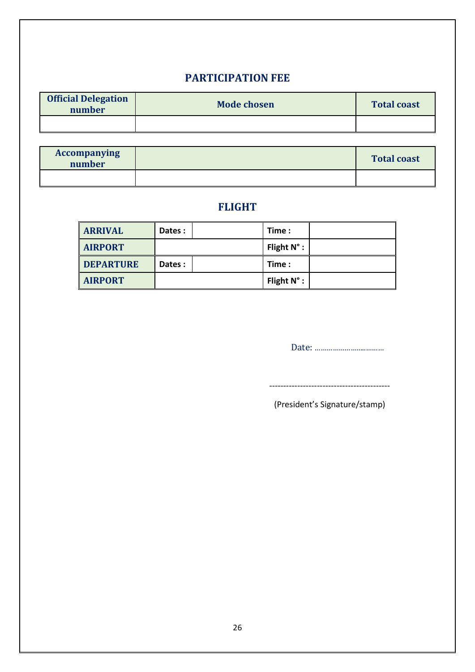## **PARTICIPATION FEE**

| <b>Official Delegation</b><br>number | <b>Mode chosen</b> | <b>Total coast</b> |
|--------------------------------------|--------------------|--------------------|
|                                      |                    |                    |

| <b>Accompanying</b><br>number | <b>Total coast</b> |
|-------------------------------|--------------------|
|                               |                    |

## **FLIGHT**

| <b>ARRIVAL</b>   | Dates: | Time :             |  |
|------------------|--------|--------------------|--|
| <b>AIRPORT</b>   |        | Flight $N^\circ$ : |  |
| <b>DEPARTURE</b> | Dates: | Time :             |  |
| <b>AIRPORT</b>   |        | Flight $N^\circ$ : |  |

Date: ……………………..………

-------------------------------------------

(President's Signature/stamp)